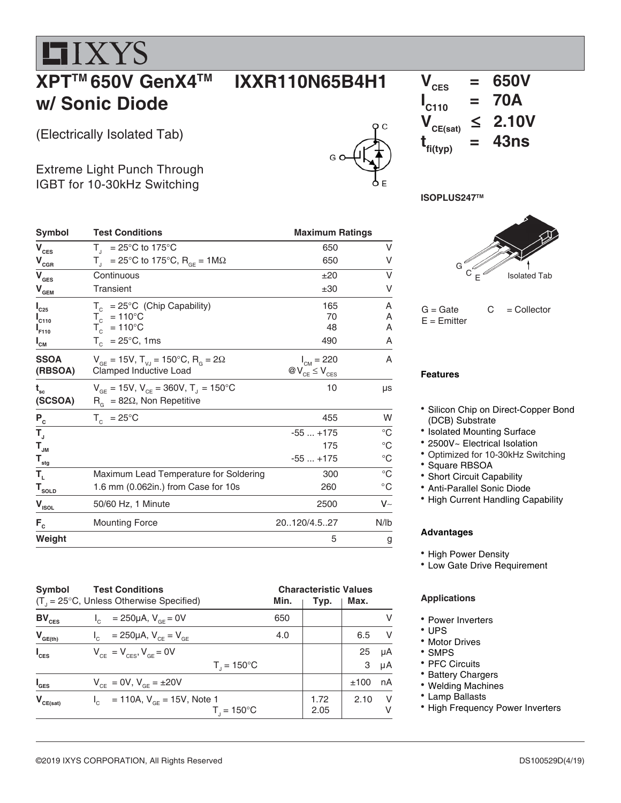**HIXYS** 

#### **XPTTM 650V GenX4TM w/ Sonic Diode**

(Electrically Isolated Tab)

 $I_{C25}$ 

**I**

**I**<sub>F110</sub>

**I**

Extreme Light Punch Through IGBT for 10-30kHz Switching







| Symbol                             | <b>Test Conditions</b>                                               | <b>Maximum Ratings</b>          |                   |  |
|------------------------------------|----------------------------------------------------------------------|---------------------------------|-------------------|--|
| V <sub>CES</sub>                   | $T_{1}$ = 25°C to 175°C                                              | 650                             | V                 |  |
| $\bm{{\mathsf{V}}}_{\mathtt{CGR}}$ | $T_{\text{I}}$ = 25°C to 175°C, R <sub>GE</sub> = 1M $\Omega$        | 650                             | V                 |  |
| V <sub>ges</sub>                   | Continuous                                                           | ±20                             | V                 |  |
| ${\mathsf V}_{\mathsf{GEM}}$       | <b>Transient</b>                                                     | ±30                             | V                 |  |
| $\mathsf{I}_{\texttt{C25}}$        | $T_c$ = 25°C (Chip Capability)                                       | 165                             | A                 |  |
| $\mathsf{I}_\mathsf{C110}$         | $T_c = 110^{\circ}C$                                                 | 70                              | A                 |  |
| I <sub>F110</sub>                  | $T_c$ = 110°C                                                        | 48                              | A                 |  |
| $\mathbf{I}_{\mathsf{CM}}$         | $T_c$ = 25°C, 1ms                                                    | 490                             | A                 |  |
| SSOA                               | $V_{GE}$ = 15V, T <sub>vJ</sub> = 150°C, R <sub>G</sub> = 2 $\Omega$ | $I_{CM} = 220$                  | A                 |  |
| (RBSOA)                            | Clamped Inductive Load                                               | $\mathcal{W}_{CE} \leq V_{CES}$ |                   |  |
| t<br>sc                            | $V_{GE}$ = 15V, $V_{CE}$ = 360V, T <sub>J</sub> = 150°C              | 10                              | μs                |  |
| (SCSOA)                            | $R_{\alpha}$ = 82 $\Omega$ , Non Repetitive                          |                                 |                   |  |
| $P_c$                              | $T_c = 25^{\circ}C$                                                  | 455                             | W                 |  |
| $\mathsf{T}_\mathrm{a}$            |                                                                      | $-55+175$                       | $^{\circ}C$       |  |
| $\mathsf{T}_{\mathsf{JM}}$         |                                                                      | 175                             | $^{\circ}{\rm C}$ |  |
| $\mathsf{T}_{_{\sf stg}}$          |                                                                      | $-55+175$                       | $^{\circ}{\rm C}$ |  |
| Т,                                 | Maximum Lead Temperature for Soldering                               | 300                             | $^{\circ}{\rm C}$ |  |
| $\mathsf{T}_{\mathsf{sOLD}}$       | 1.6 mm (0.062in.) from Case for 10s                                  | 260                             | $^\circ \text{C}$ |  |
| $V_{\text{ISOL}}$                  | 50/60 Hz, 1 Minute                                                   | 2500                            | V~                |  |
| $F_c$                              | <b>Mounting Force</b>                                                | 20120/4.527                     | N/lb              |  |
| Weight                             |                                                                      | 5                               | g                 |  |

| <b>Symbol</b>    | <b>Test Conditions</b><br>$(T_{1} = 25^{\circ}C,$ Unless Otherwise Specified) | Min. | <b>Characteristic Values</b><br>Typ. | Max.    |          |
|------------------|-------------------------------------------------------------------------------|------|--------------------------------------|---------|----------|
| $BV_{CES}$       | $I_c = 250 \mu A$ , $V_{cF} = 0V$                                             | 650  |                                      |         | V        |
| $V_{GE(th)}$     | = 250µA, $V_{CF} = V_{GE}$                                                    | 4.0  |                                      | 6.5     | V        |
| $I_{\text{CES}}$ | $V_{CF} = V_{CFS}$ , $V_{GF} = 0V$<br>$T_{1} = 150^{\circ}C$                  |      |                                      | 25<br>3 | μA<br>μA |
| $I_{\text{GES}}$ | $V_{CE} = 0V, V_{GE} = \pm 20V$                                               |      |                                      | ±100    | nA       |
| $V_{CE(sat)}$    | $I_c$ = 110A, $V_{cF}$ = 15V, Note 1<br>$T_{1} = 150^{\circ}C$                |      | 1.72<br>2.05                         | 2.10    | - V<br>V |

#### G  $\circ$   $_{\mathsf{E}}$ Isolated Tab

 $G =$  Gate  $C =$  Collector  $E =$  Emitter

#### **Features**

- Silicon Chip on Direct-Copper Bond (DCB) Substrate
- Isolated Mounting Surface
- 2500V~ Electrical Isolation
- Optimized for 10-30kHz Switching
- \* Square RBSOA
- Short Circuit Capability
- Anti-Parallel Sonic Diode
- High Current Handling Capability

#### **Advantages**

- High Power Density
- Low Gate Drive Requirement

#### **Applications**

- Power Inverters
- UPS
- Motor Drives
- SMPS
- PFC Circuits
- **Battery Chargers**
- Welding Machines
- Lamp Ballasts
- High Frequency Power Inverters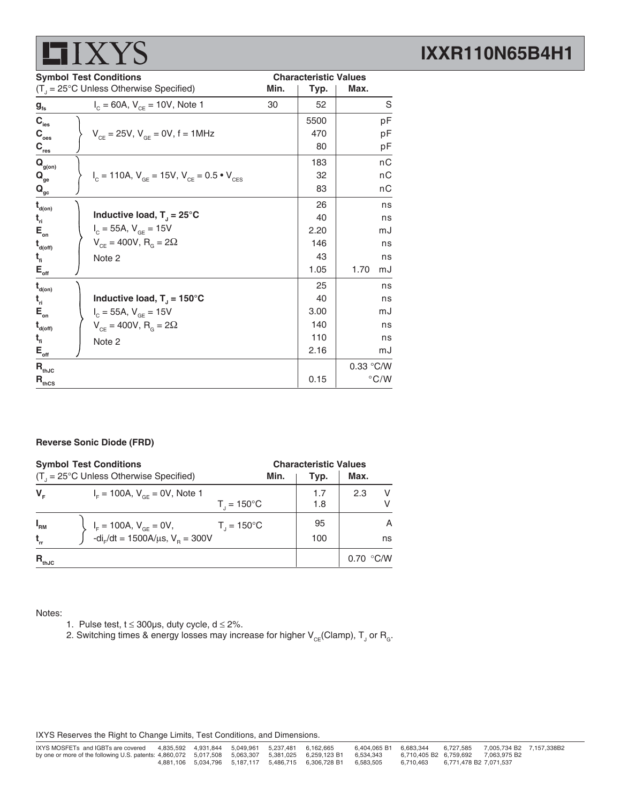## **LIXYS**

## **IXXR110N65B4H1**

|                                        | <b>Symbol Test Conditions</b>                                                              |      | <b>Characteristic Values</b> |               |
|----------------------------------------|--------------------------------------------------------------------------------------------|------|------------------------------|---------------|
|                                        | $(T_{\text{u}} = 25^{\circ} \text{C}$ Unless Otherwise Specified)                          | Min. | Typ.                         | Max.          |
| $g_{\rm fs}$                           | $I_c = 60A$ , $V_{ce} = 10V$ , Note 1                                                      | 30   | 52                           | S             |
| $\mathbf{C}_{\text{ies}}$              |                                                                                            |      | 5500                         | pF            |
| $\mathbf{C}_{_{\mathrm{oes}}}$         | $V_{CF} = 25V$ , $V_{GF} = 0V$ , f = 1MHz                                                  |      | 470                          | pF            |
| $C_{res}$                              |                                                                                            |      | 80                           | pF            |
| $\mathbf{Q}_{\text{g(on)}}$            |                                                                                            |      | 183                          | nC            |
| $\mathbf{Q}_{\mathrm{ge}}$             | $V_{\text{c}} = 110A$ , $V_{\text{GE}} = 15V$ , $V_{\text{CE}} = 0.5 \cdot V_{\text{CES}}$ |      | 32                           | пC            |
| $\mathbf{Q}_{\underline{\mathrm{gc}}}$ |                                                                                            |      | 83                           | nС            |
| $t_{\text{\tiny d(0n)}}$               |                                                                                            |      | 26                           | ns            |
| $t_{\rm n}$                            | Inductive load, $T_1 = 25^{\circ}C$                                                        |      | 40                           | ns            |
| $\mathsf{E}_{_{\sf on}}$               | $I_c = 55A, V_{GE} = 15V$                                                                  |      | 2.20                         | mJ            |
| $t_{\text{\tiny d(off)}}$              | $V_{CF} = 400V, R_{G} = 2\Omega$                                                           |      | 146                          | ns            |
| $t_{\rm fl}$                           | Note 2                                                                                     |      | 43                           | ns            |
| $E_{\text{off}}$                       |                                                                                            |      | 1.05                         | 1.70<br>mJ    |
| $t_{\text{\tiny d(0n)}}$               |                                                                                            |      | 25                           | ns            |
| $t_{\rm n}$                            | Inductive load, $T_1 = 150^{\circ}$ C                                                      |      | 40                           | ns            |
| $\mathsf{E}_{_{\sf on}}$               | $I_c = 55A, V_{GF} = 15V$                                                                  |      | 3.00                         | mJ            |
| $t_{\text{\tiny{d(off)}}}$             | $V_{CF} = 400V, R_{G} = 2\Omega$                                                           |      | 140                          | ns            |
| $t_{fi}$                               | Note 2                                                                                     |      | 110                          | ns            |
| $\mathsf{E}_{\mathsf{off}}$            |                                                                                            |      | 2.16                         | mJ            |
| $\mathbf{R}_{\text{thJC}}$             |                                                                                            |      |                              | 0.33 °C/W     |
| $\mathbf{R}_{\text{thCS}}$             |                                                                                            |      | 0.15                         | $\degree$ C/W |

#### **Reverse Sonic Diode (FRD)**

| <b>Symbol Test Conditions</b> |                                                                                 |                        | <b>Characteristic Values</b> |           |  |
|-------------------------------|---------------------------------------------------------------------------------|------------------------|------------------------------|-----------|--|
|                               | $(T_{1} = 25^{\circ}C$ Unless Otherwise Specified)                              | Min.                   | Typ.                         | Max.      |  |
| $V_{\rm c}$                   | $I_{\rm F}$ = 100A, $V_{\rm GF}$ = 0V, Note 1                                   | $T_{1} = 150^{\circ}C$ | 1.7<br>1.8                   | V<br>2.3  |  |
| $I_{\rm RM}$<br>$t_{\rm rr}$  | $I_F = 100A$ , $V_{GE} = 0V$ ,<br>-di <sub>r</sub> /dt = 1500A/µs, $V_B = 300V$ | $T_{1} = 150^{\circ}C$ | 95<br>100                    | A<br>ns   |  |
| $R_{thJC}$                    |                                                                                 |                        |                              | 0.70 °C/W |  |

Notes:

- 1. Pulse test,  $t \le 300\mu s$ , duty cycle,  $d \le 2\%$ .
- 2. Switching times & energy losses may increase for higher  $\mathsf{V}_{\mathsf{CE}}$ (Clamp),  $\mathsf{T}_{\mathsf{J}}$  or  $\mathsf{R}_{\mathsf{G}}$ .

IXYS Reserves the Right to Change Limits, Test Conditions, and Dimensions.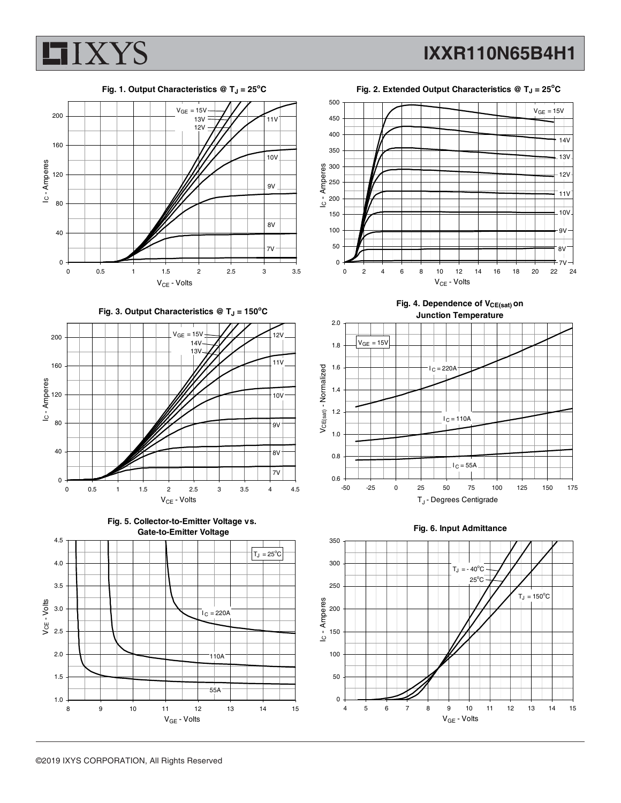

**IXXR110N65B4H1**



**Fig. 3. Output Characteristics @ TJ = 150<sup>o</sup> C**







Fig. 2. Extended Output Characteristics @ T<sub>J</sub> = 25<sup>°</sup>C



Fig. 4. Dependence of V<sub>CE(sat)</sub> on





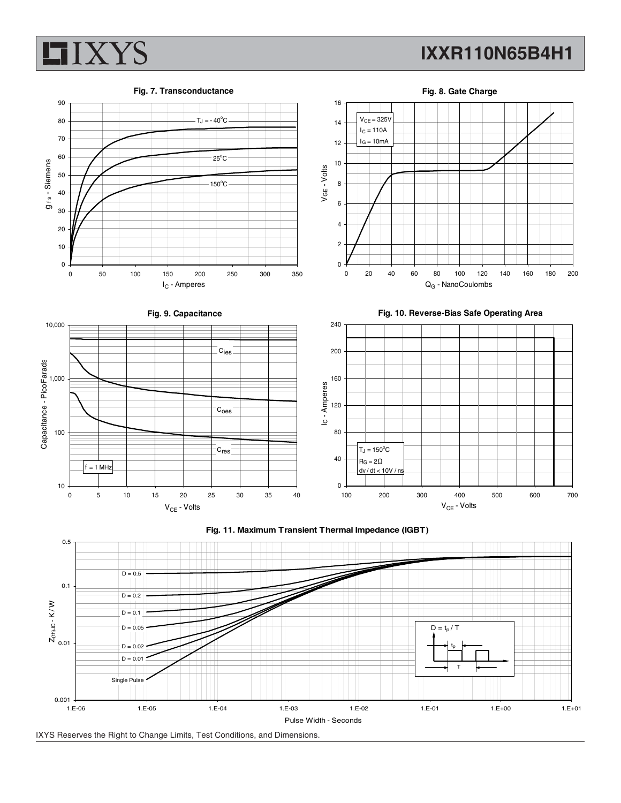



**Fig. 8. Gate Charge**





IXYS Reserves the Right to Change Limits, Test Conditions, and Dimensions.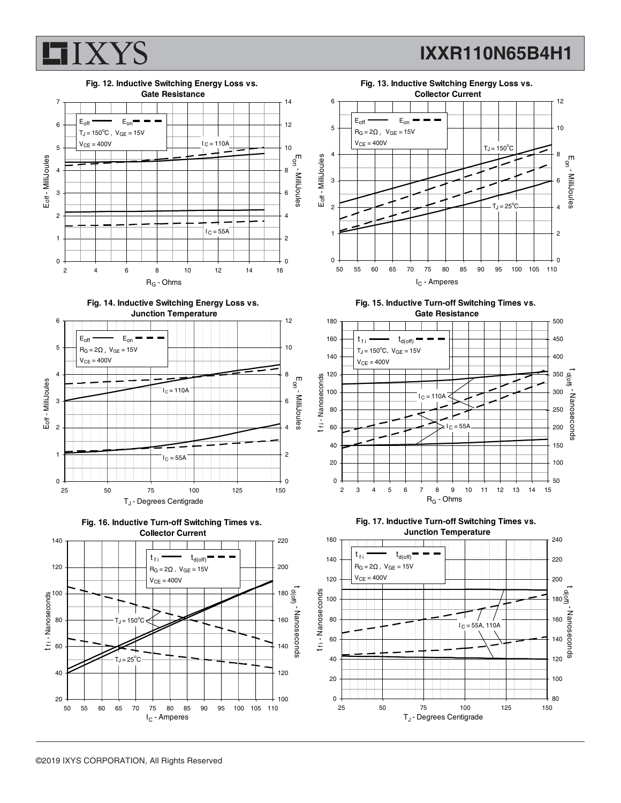



















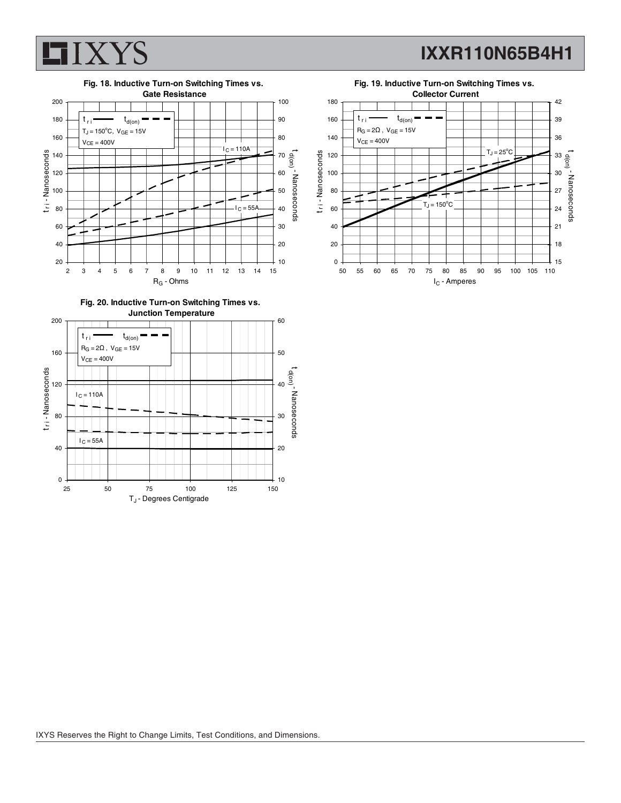



**Fig. 20. Inductive Turn-on Switching Times vs. Junction Temperature**



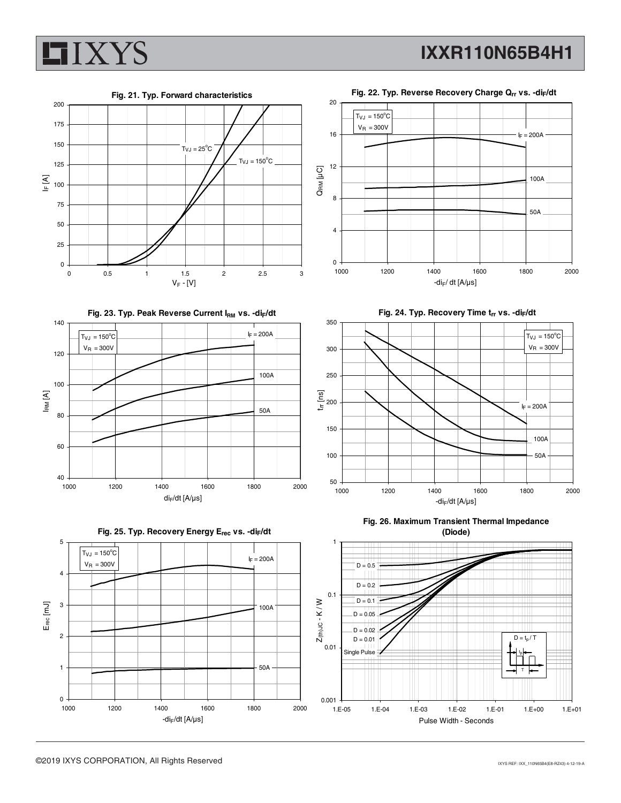







0 4 8 12 16 1000 1200 1400 1600 1800 2000  $-di_F/dt$  [A/ $\mu$ s] 100A 50A

Fig. 24. Typ. Recovery Time trr vs. -di<sub>F</sub>/dt



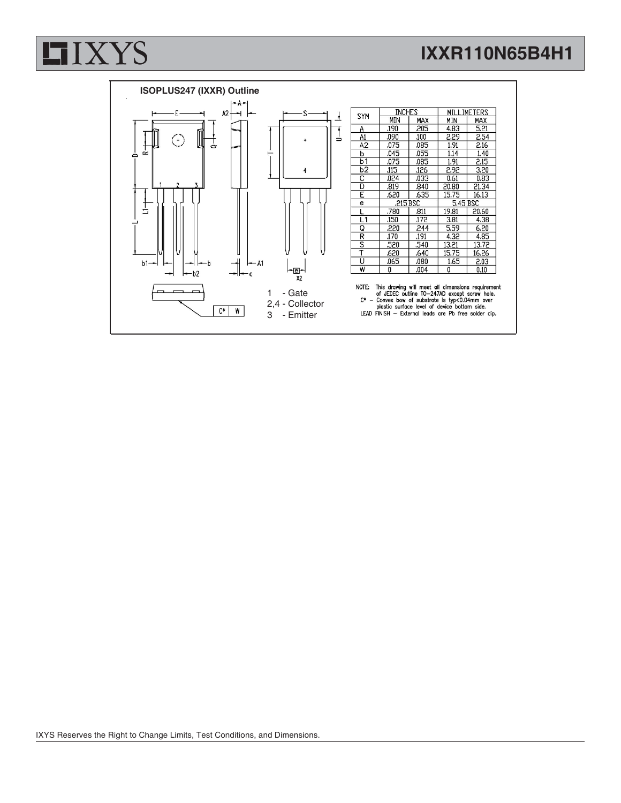# **LIXYS**